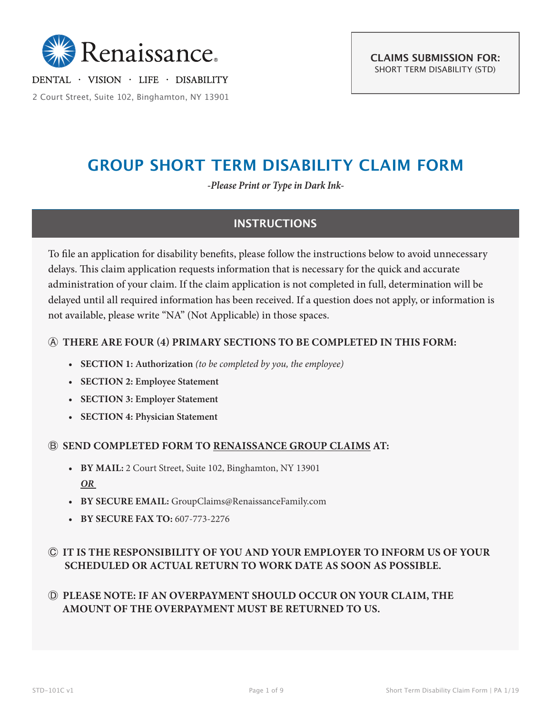

DENTAL · VISION · LIFE · DISABILITY

2 Court Street, Suite 102, Binghamton, NY 13901

# **GROUP SHORT TERM DISABILITY CLAIM FORM**

*-Please Print or Type in Dark Ink-*

## **INSTRUCTIONS**

To file an application for disability benefits, please follow the instructions below to avoid unnecessary delays. This claim application requests information that is necessary for the quick and accurate administration of your claim. If the claim application is not completed in full, determination will be delayed until all required information has been received. If a question does not apply, or information is not available, please write "NA" (Not Applicable) in those spaces.

## Ⓐ **THERE ARE FOUR (4) PRIMARY SECTIONS TO BE COMPLETED IN THIS FORM:**

- **• SECTION 1: Authorization** *(to be completed by you, the employee)*
- **• SECTION 2: Employee Statement**
- **• SECTION 3: Employer Statement**
- **• SECTION 4: Physician Statement**

### Ⓑ **SEND COMPLETED FORM TO RENAISSANCE GROUP CLAIMS AT:**

- **• BY MAIL:** 2 Court Street, Suite 102, Binghamton, NY 13901 *OR*
- **• BY SECURE EMAIL:** GroupClaims@RenaissanceFamily.com
- **• BY SECURE FAX TO:** 607-773-2276

## Ⓒ **IT IS THE RESPONSIBILITY OF YOU AND YOUR EMPLOYER TO INFORM US OF YOUR SCHEDULED OR ACTUAL RETURN TO WORK DATE AS SOON AS POSSIBLE.**

## Ⓓ **PLEASE NOTE: IF AN OVERPAYMENT SHOULD OCCUR ON YOUR CLAIM, THE AMOUNT OF THE OVERPAYMENT MUST BE RETURNED TO US.**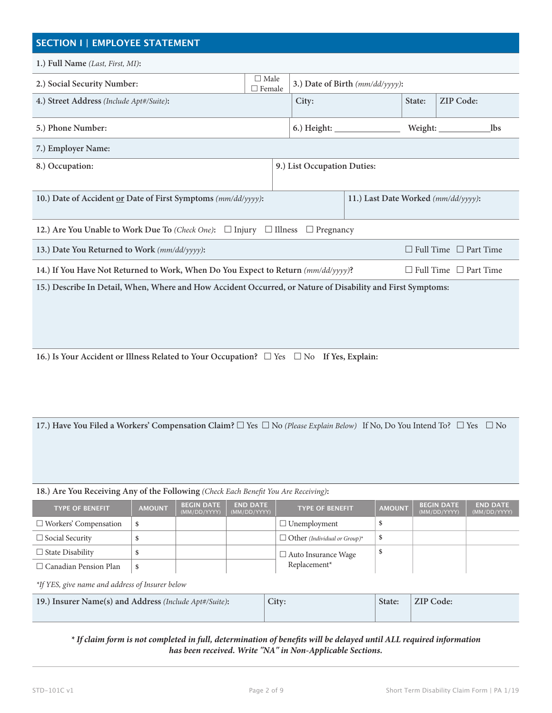# **SECTION I | EMPLOYEE STATEMENT**

| 1.) Full Name (Last, First, MI):                                                                                       |                                     |                                 |  |        |                                   |  |
|------------------------------------------------------------------------------------------------------------------------|-------------------------------------|---------------------------------|--|--------|-----------------------------------|--|
| 2.) Social Security Number:                                                                                            | $\Box$ Male<br>$\Box$ Female        | 3.) Date of Birth (mm/dd/yyyy): |  |        |                                   |  |
| 4.) Street Address (Include Apt#/Suite):                                                                               |                                     |                                 |  | State: | <b>ZIP Code:</b>                  |  |
| 5.) Phone Number:                                                                                                      |                                     | $6.)$ Height: $\_\_$<br>Weight: |  |        | <b>lbs</b>                        |  |
| 7.) Employer Name:                                                                                                     |                                     |                                 |  |        |                                   |  |
| 8.) Occupation:                                                                                                        | 9.) List Occupation Duties:         |                                 |  |        |                                   |  |
|                                                                                                                        |                                     |                                 |  |        |                                   |  |
| 10.) Date of Accident or Date of First Symptoms (mm/dd/yyyy):                                                          | 11.) Last Date Worked (mm/dd/yyyy): |                                 |  |        |                                   |  |
| 12.) Are You Unable to Work Due To (Check One): $\Box$ Injury<br>$\Box$ Illness<br>$\Box$ Pregnancy                    |                                     |                                 |  |        |                                   |  |
| 13.) Date You Returned to Work (mm/dd/yyyy):                                                                           |                                     |                                 |  |        | $\Box$ Full Time $\Box$ Part Time |  |
| 14.) If You Have Not Returned to Work, When Do You Expect to Return (mm/dd/yyyy)?<br>$\Box$ Full Time $\Box$ Part Time |                                     |                                 |  |        |                                   |  |
| 15.) Describe In Detail, When, Where and How Accident Occurred, or Nature of Disability and First Symptoms:            |                                     |                                 |  |        |                                   |  |
|                                                                                                                        |                                     |                                 |  |        |                                   |  |
|                                                                                                                        |                                     |                                 |  |        |                                   |  |
|                                                                                                                        |                                     |                                 |  |        |                                   |  |

**16.)** Is Your Accident or Illness Related to Your Occupation? □ Yes □ No If Yes, Explain:

**17.) Have You Filed a Workers' Compensation Claim?** □ Yes □ No (Please Explain Below) If No, Do You Intend To? □ Yes □ No

#### **18.) Are You Receiving Any of the Following** *(Check Each Benefit You Are Receiving)***:**

| <b>TYPE OF BENEFIT</b>       | <b>AMOUNT</b> | <b>BEGIN DATE</b><br>(MM/DD/YYYY) | <b>END DATE</b><br>(MM/DD/YYYY) | <b>TYPE OF BENEFIT</b>              | <b>AMOUNT</b> | <b>BEGIN DATE</b><br>(MM/DD/YYYY) | <b>END DATE</b><br>(MM/DD/YYYY) |
|------------------------------|---------------|-----------------------------------|---------------------------------|-------------------------------------|---------------|-----------------------------------|---------------------------------|
| $\Box$ Workers' Compensation |               |                                   |                                 | $\Box$ Unemployment                 |               |                                   |                                 |
| $\Box$ Social Security       |               |                                   |                                 | $\Box$ Other (Individual or Group)* |               |                                   |                                 |
| $\Box$ State Disability      |               |                                   |                                 | $\Box$ Auto Insurance Wage          |               |                                   |                                 |
| $\Box$ Canadian Pension Plan | \$            |                                   |                                 | Replacement*                        |               |                                   |                                 |

*\*If YES, give name and address of Insurer below*

| 19.) Insurer Name(s) and Address (Include Apt#/Suite): | City: | State: | ZIP Code: |
|--------------------------------------------------------|-------|--------|-----------|
|                                                        |       |        |           |

*\* If claim form is not completed in full, determination of benefits will be delayed until ALL required information has been received. Write "NA" in Non-Applicable Sections.*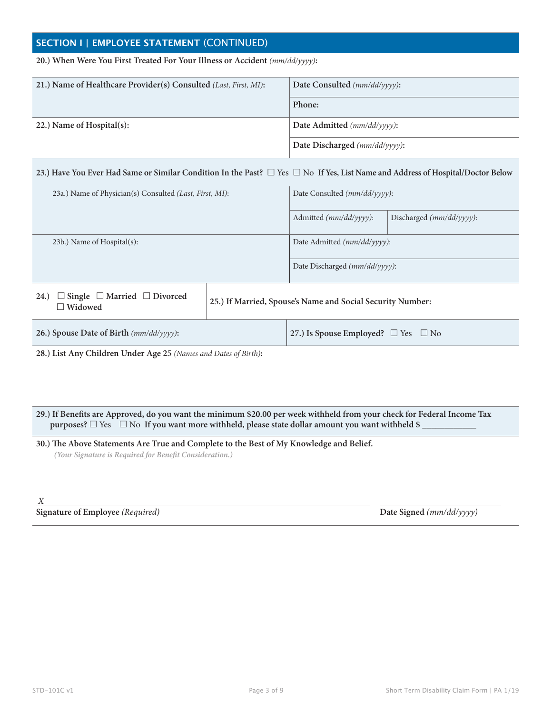## **SECTION I | EMPLOYEE STATEMENT** (CONTINUED)

#### **20.) When Were You First Treated For Your Illness or Accident** *(mm/dd/yyyy)***:**

| 21.) Name of Healthcare Provider(s) Consulted (Last, First, MI): | Date Consulted $(mm/dd/yyyy)$ :  |
|------------------------------------------------------------------|----------------------------------|
|                                                                  | Phone:                           |
| 22.) Name of Hospital(s):                                        | Date Admitted (mm/dd/yyyy):      |
|                                                                  | Date Discharged $(mm/dd/yyyy)$ : |

#### **23.) Have You Ever Had Same or Similar Condition In the Past?**  $\Box$  Yes  $\Box$  No If Yes, List Name and Address of Hospital/Doctor Below

| 23a.) Name of Physician(s) Consulted (Last, First, MI):                      |                                                            | Date Consulted (mm/dd/yyyy):                  |                             |  |  |
|------------------------------------------------------------------------------|------------------------------------------------------------|-----------------------------------------------|-----------------------------|--|--|
|                                                                              |                                                            | Admitted $(mm/dd/ \gamma \gamma \gamma)$ :    | Discharged $(mm/dd/yyyy)$ : |  |  |
| 23b.) Name of Hospital(s):                                                   |                                                            | Date Admitted $(mm/dd/yyyy)$ :                |                             |  |  |
|                                                                              |                                                            | Date Discharged $(mm/dd/yyyy)$ :              |                             |  |  |
| $\Box$ Single $\Box$ Married $\Box$ Divorced<br><b>24.</b><br>$\Box$ Widowed | 25.) If Married, Spouse's Name and Social Security Number: |                                               |                             |  |  |
| 26.) Spouse Date of Birth (mm/dd/yyyy):                                      |                                                            | 27.) Is Spouse Employed? $\Box$ Yes $\Box$ No |                             |  |  |

**28.) List Any Children Under Age 25** *(Names and Dates of Birth)***:**

**29.) If Benefits are Approved, do you want the minimum \$20.00 per week withheld from your check for Federal Income Tax purposes?** □ Yes □ No If you want more withheld, please state dollar amount you want withheld \$ \_

**30.) The Above Statements Are True and Complete to the Best of My Knowledge and Belief.** *(Your Signature is Required for Benefit Consideration.)*

 *X* 

#### **Signature of Employee** *(Required)* **Date Signed** *(mm/dd/yyyy)*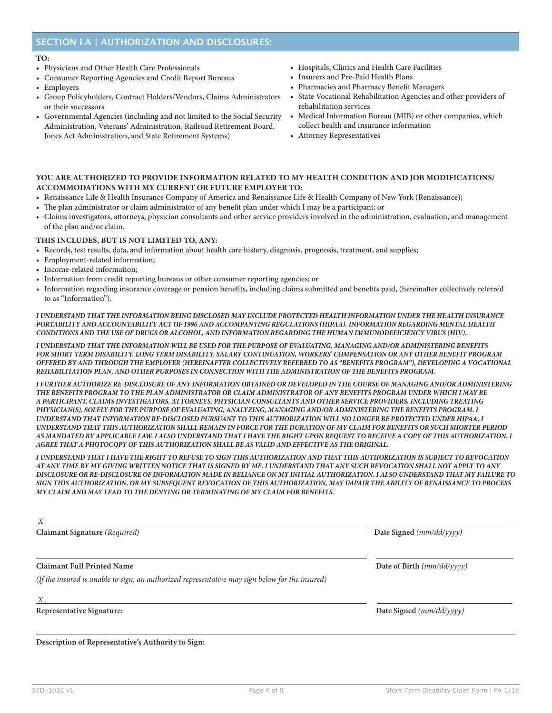## **SECTION I.A | AUTHORIZATION AND DISCLOSURES:**

#### **TO:**

- Physicians and Other Health Care Professionals
- Consumer Reporting Agencies and Credit Report Bureaus
- Employers
- Group Policyholders, Contract Holders/Vendors, Claims Administrators or their successors
- Governmental Agencies (including and not limited to the Social Security Administration, Veterans' Administration, Railroad Retirement Board, Jones Act Administration, and State Retirement Systems)
- Hospitals, Clinics and Health Care Facilities
- Insurers and Pre-Paid Health Plans
- Pharmacies and Pharmacy Benefit Managers
- State Vocational Rehabilitation Agencies and other providers of rehabilitation services
- Medical Information Bureau (MIB) or other companies, which collect health and insurance information
- Attorney Representatives

#### **YOU ARE AUTHORIZED TO PROVIDE INFORMATION RELATED TO MY HEALTH CONDITION AND JOB MODIFICATIONS/ ACCOMMODATIONS WITH MY CURRENT OR FUTURE EMPLOYER TO:**

- Renaissance Life & Health Insurance Company of America and Renaissance Life & Health Company of New York (Renaissance);
- The plan administrator or claim administrator of any benefit plan under which I may be a participant; or
- Claims investigators, attorneys, physician consultants and other service providers involved in the administration, evaluation, and management of the plan and/or claim.

#### **THIS INCLUDES, BUT IS NOT LIMITED TO, ANY:**

- Records, test results, data, and information about health care history, diagnosis, prognosis, treatment, and supplies;
- Employment-related information;
- Income-related information;
- Information from credit reporting bureaus or other consumer reporting agencies; or
- Information regarding insurance coverage or pension benefits, including claims submitted and benefits paid, (hereinafter collectively referred to as "Information").

*I UNDERSTAND THAT THE INFORMATION BEING DISCLOSED MAY INCLUDE PROTECTED HEALTH INFORMATION UNDER THE HEALTH INSURANCE PORTABILITY AND ACCOUNTABILITY ACT OF 1996 AND ACCOMPANYING REGULATIONS (HIPAA), INFORMATION REGARDING MENTAL HEALTH CONDITIONS AND THE USE OF DRUGS OR ALCOHOL, AND INFORMATION REGARDING THE HUMAN IMMUNODEFICIENCY VIRUS (HIV).* 

*I UNDERSTAND THAT THE INFORMATION WILL BE USED FOR THE PURPOSE OF EVALUATING, MANAGING AND/OR ADMINISTERING BENEFITS FOR SHORT TERM DISABILITY, LONG TERM DISABILITY, SALARY CONTINUATION, WORKERS' COMPENSATION OR ANY OTHER BENEFIT PROGRAM OFFERED BY AND THROUGH THE EMPLOYER (HEREINAFTER COLLECTIVELY REFERRED TO AS "BENEFITS PROGRAM"), DEVELOPING A VOCATIONAL REHABILITATION PLAN, AND OTHER PURPOSES IN CONNECTION WITH THE ADMINISTRATION OF THE BENEFITS PROGRAM.* 

*I FURTHER AUTHORIZE RE-DISCLOSURE OF ANY INFORMATION OBTAINED OR DEVELOPED IN THE COURSE OF MANAGING AND/OR ADMINISTERING THE BENEFITS PROGRAM TO THE PLAN ADMINISTRATOR OR CLAIM ADMINISTRATOR OF ANY BENEFITS PROGRAM UNDER WHICH I MAY BE A PARTICIPANT, CLAIMS INVESTIGATORS, ATTORNEYS, PHYSICIAN CONSULTANTS AND OTHER SERVICE PROVIDERS, INCLUDING TREATING PHYSICIAN(S), SOLELY FOR THE PURPOSE OF EVALUATING, ANALYZING, MANAGING AND/OR ADMINISTERING THE BENEFITS PROGRAM. I UNDERSTAND THAT INFORMATION RE-DISCLOSED PURSUANT TO THIS AUTHORIZATION WILL NO LONGER BE PROTECTED UNDER HIPAA. I UNDERSTAND THAT THIS AUTHORIZATION SHALL REMAIN IN FORCE FOR THE DURATION OF MY CLAIM FOR BENEFITS OR SUCH SHORTER PERIOD AS MANDATED BY APPLICABLE LAW. I ALSO UNDERSTAND THAT I HAVE THE RIGHT UPON REQUEST TO RECEIVE A COPY OF THIS AUTHORIZATION. I AGREE THAT A PHOTOCOPY OF THIS AUTHORIZATION SHALL BE AS VALID AND EFFECTIVE AS THE ORIGINAL.* 

*I UNDERSTAND THAT I HAVE THE RIGHT TO REFUSE TO SIGN THIS AUTHORIZATION AND THAT THIS AUTHORIZATION IS SUBJECT TO REVOCATION AT ANY TIME BY MY GIVING WRITTEN NOTICE THAT IS SIGNED BY ME. I UNDERSTAND THAT ANY SUCH REVOCATION SHALL NOT APPLY TO ANY DISCLOSURE OR RE-DISCLOSURE OF INFORMATION MADE IN RELIANCE ON MY INITIAL AUTHORIZATION. I ALSO UNDERSTAND THAT MY FAILURE TO SIGN THIS AUTHORIZATION, OR MY SUBSEQUENT REVOCATION OF THIS AUTHORIZATION, MAY IMPAIR THE ABILITY OF RENAISSANCE TO PROCESS MY CLAIM AND MAY LEAD TO THE DENYING OR TERMINATING OF MY CLAIM FOR BENEFITS.* 

| X                                                                                               |                            |
|-------------------------------------------------------------------------------------------------|----------------------------|
| Claimant Signature (Required)                                                                   | Date Signed $(mm/dd/yyyy)$ |
| <b>Claimant Full Printed Name</b>                                                               | Date of Birth (mm/dd/yyyy) |
| (If the insured is unable to sign, an authorized representative may sign below for the insured) |                            |
| X                                                                                               |                            |
| <b>Representative Signature:</b>                                                                | Date Signed $(mm/dd/yyyy)$ |

**Description of Representative's Authority to Sign:**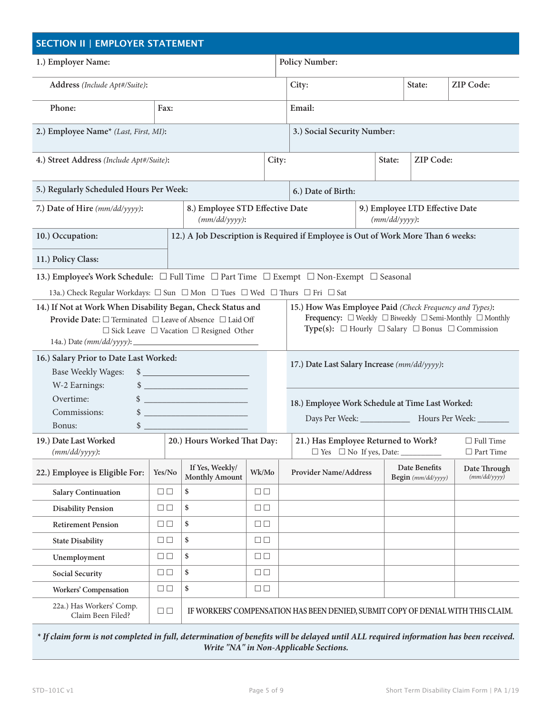| <b>SECTION II   EMPLOYER STATEMENT</b>                                                  |                                                                                                                                                                                                                                                                                                                                                                                                     |                                                                                                                                                                                                                                                                                                                                                |                        |                       |                                                                                  |                  |  |                                     |                                                       |
|-----------------------------------------------------------------------------------------|-----------------------------------------------------------------------------------------------------------------------------------------------------------------------------------------------------------------------------------------------------------------------------------------------------------------------------------------------------------------------------------------------------|------------------------------------------------------------------------------------------------------------------------------------------------------------------------------------------------------------------------------------------------------------------------------------------------------------------------------------------------|------------------------|-----------------------|----------------------------------------------------------------------------------|------------------|--|-------------------------------------|-------------------------------------------------------|
| 1.) Employer Name:                                                                      |                                                                                                                                                                                                                                                                                                                                                                                                     |                                                                                                                                                                                                                                                                                                                                                |                        | <b>Policy Number:</b> |                                                                                  |                  |  |                                     |                                                       |
| Address (Include Apt#/Suite):                                                           |                                                                                                                                                                                                                                                                                                                                                                                                     |                                                                                                                                                                                                                                                                                                                                                |                        |                       | City:                                                                            |                  |  | State:                              | <b>ZIP Code:</b>                                      |
| Phone:                                                                                  | Fax:                                                                                                                                                                                                                                                                                                                                                                                                |                                                                                                                                                                                                                                                                                                                                                |                        |                       | Email:                                                                           |                  |  |                                     |                                                       |
| 2.) Employee Name* (Last, First, MI):                                                   |                                                                                                                                                                                                                                                                                                                                                                                                     |                                                                                                                                                                                                                                                                                                                                                |                        |                       | 3.) Social Security Number:                                                      |                  |  |                                     |                                                       |
| 4.) Street Address (Include Apt#/Suite):                                                |                                                                                                                                                                                                                                                                                                                                                                                                     |                                                                                                                                                                                                                                                                                                                                                |                        | City:                 | State:                                                                           |                  |  | ZIP Code:                           |                                                       |
| 5.) Regularly Scheduled Hours Per Week:                                                 |                                                                                                                                                                                                                                                                                                                                                                                                     |                                                                                                                                                                                                                                                                                                                                                |                        |                       | 6.) Date of Birth:                                                               |                  |  |                                     |                                                       |
| 7.) Date of Hire (mm/dd/yyyy):                                                          |                                                                                                                                                                                                                                                                                                                                                                                                     | 8.) Employee STD Effective Date<br>$(mm/dd/yyyy)$ :                                                                                                                                                                                                                                                                                            |                        |                       |                                                                                  | $(mm/dd/yyyy)$ : |  | 9.) Employee LTD Effective Date     |                                                       |
| 10.) Occupation:                                                                        |                                                                                                                                                                                                                                                                                                                                                                                                     |                                                                                                                                                                                                                                                                                                                                                |                        |                       | 12.) A Job Description is Required if Employee is Out of Work More Than 6 weeks: |                  |  |                                     |                                                       |
| 11.) Policy Class:                                                                      |                                                                                                                                                                                                                                                                                                                                                                                                     |                                                                                                                                                                                                                                                                                                                                                |                        |                       |                                                                                  |                  |  |                                     |                                                       |
| 13.) Employee's Work Schedule: □ Full Time □ Part Time □ Exempt □ Non-Exempt □ Seasonal |                                                                                                                                                                                                                                                                                                                                                                                                     |                                                                                                                                                                                                                                                                                                                                                |                        |                       |                                                                                  |                  |  |                                     |                                                       |
| 13a.) Check Regular Workdays: □ Sun □ Mon □ Tues □ Wed □ Thurs □ Fri □ Sat              |                                                                                                                                                                                                                                                                                                                                                                                                     |                                                                                                                                                                                                                                                                                                                                                |                        |                       |                                                                                  |                  |  |                                     |                                                       |
|                                                                                         | 14.) If Not at Work When Disability Began, Check Status and<br>15.) How Was Employee Paid (Check Frequency and Types):<br>Frequency: $\Box$ Weekly $\Box$ Biweekly $\Box$ Semi-Monthly $\Box$ Monthly<br>Provide Date: □ Terminated □ Leave of Absence □ Laid Off<br>Type(s): $\Box$ Hourly $\Box$ Salary $\Box$ Bonus $\Box$ Commission<br>$\Box$ Sick Leave $\Box$ Vacation $\Box$ Resigned Other |                                                                                                                                                                                                                                                                                                                                                |                        |                       |                                                                                  |                  |  |                                     |                                                       |
| 16.) Salary Prior to Date Last Worked:<br><b>Base Weekly Wages:</b><br>W-2 Earnings:    |                                                                                                                                                                                                                                                                                                                                                                                                     | $\frac{1}{2}$<br>$\frac{1}{2}$ $\frac{1}{2}$ $\frac{1}{2}$ $\frac{1}{2}$ $\frac{1}{2}$ $\frac{1}{2}$ $\frac{1}{2}$ $\frac{1}{2}$ $\frac{1}{2}$ $\frac{1}{2}$ $\frac{1}{2}$ $\frac{1}{2}$ $\frac{1}{2}$ $\frac{1}{2}$ $\frac{1}{2}$ $\frac{1}{2}$ $\frac{1}{2}$ $\frac{1}{2}$ $\frac{1}{2}$ $\frac{1}{2}$ $\frac{1}{2}$ $\frac{1}{2}$           |                        |                       | 17.) Date Last Salary Increase (mm/dd/yyyy):                                     |                  |  |                                     |                                                       |
| Overtime:<br>Commissions:<br>Bonus:                                                     |                                                                                                                                                                                                                                                                                                                                                                                                     | $\frac{1}{2}$<br>$\frac{1}{2}$ $\frac{1}{2}$ $\frac{1}{2}$ $\frac{1}{2}$ $\frac{1}{2}$ $\frac{1}{2}$ $\frac{1}{2}$ $\frac{1}{2}$ $\frac{1}{2}$ $\frac{1}{2}$ $\frac{1}{2}$ $\frac{1}{2}$ $\frac{1}{2}$ $\frac{1}{2}$ $\frac{1}{2}$ $\frac{1}{2}$ $\frac{1}{2}$ $\frac{1}{2}$ $\frac{1}{2}$ $\frac{1}{2}$ $\frac{1}{2}$ $\frac{1}{2}$<br>$\sim$ |                        |                       | 18.) Employee Work Schedule at Time Last Worked:                                 |                  |  |                                     | Days Per Week: _______________ Hours Per Week: ______ |
| 19.) Date Last Worked<br>$(mm/dd/yyyy)$ :                                               |                                                                                                                                                                                                                                                                                                                                                                                                     | 20.) Hours Worked That Day:                                                                                                                                                                                                                                                                                                                    |                        |                       | 21.) Has Employee Returned to Work?<br>$\Box$ Yes $\Box$ No If yes, Date:        |                  |  |                                     | $\Box$ Full Time<br>$\Box$ Part Time                  |
| 22.) Employee is Eligible For:                                                          | Yes/No                                                                                                                                                                                                                                                                                                                                                                                              | If Yes, Weekly/<br><b>Monthly Amount</b>                                                                                                                                                                                                                                                                                                       | Wk/Mo                  |                       | <b>Provider Name/Address</b>                                                     |                  |  | Date Benefits<br>Begin (mm/dd/yyyy) | Date Through<br>(mm/dd/yyyy)                          |
| <b>Salary Continuation</b>                                                              | $\Box$                                                                                                                                                                                                                                                                                                                                                                                              | \$                                                                                                                                                                                                                                                                                                                                             | $\Box$                 |                       |                                                                                  |                  |  |                                     |                                                       |
| <b>Disability Pension</b>                                                               | $\square \ \square$                                                                                                                                                                                                                                                                                                                                                                                 | \$                                                                                                                                                                                                                                                                                                                                             | $\Box$                 |                       |                                                                                  |                  |  |                                     |                                                       |
| <b>Retirement Pension</b>                                                               | $\Box$                                                                                                                                                                                                                                                                                                                                                                                              | \$                                                                                                                                                                                                                                                                                                                                             | $\Box$                 |                       |                                                                                  |                  |  |                                     |                                                       |
| <b>State Disability</b>                                                                 | $\square \ \square$                                                                                                                                                                                                                                                                                                                                                                                 | \$                                                                                                                                                                                                                                                                                                                                             | $\Box$                 |                       |                                                                                  |                  |  |                                     |                                                       |
| Unemployment                                                                            | $\Box$                                                                                                                                                                                                                                                                                                                                                                                              | \$                                                                                                                                                                                                                                                                                                                                             | $\square$<br>$\square$ |                       |                                                                                  |                  |  |                                     |                                                       |
| <b>Social Security</b>                                                                  | $\Box$                                                                                                                                                                                                                                                                                                                                                                                              | \$                                                                                                                                                                                                                                                                                                                                             | $\Box$                 |                       |                                                                                  |                  |  |                                     |                                                       |
| <b>Workers' Compensation</b>                                                            | $\Box$                                                                                                                                                                                                                                                                                                                                                                                              | \$                                                                                                                                                                                                                                                                                                                                             | $\Box$                 |                       |                                                                                  |                  |  |                                     |                                                       |
| 22a.) Has Workers' Comp.<br>Claim Been Filed?                                           | $\Box$                                                                                                                                                                                                                                                                                                                                                                                              |                                                                                                                                                                                                                                                                                                                                                |                        |                       | IF WORKERS' COMPENSATION HAS BEEN DENIED, SUBMIT COPY OF DENIAL WITH THIS CLAIM. |                  |  |                                     |                                                       |

*\* If claim form is not completed in full, determination of benefits will be delayed until ALL required information has been received. Write "NA" in Non-Applicable Sections.*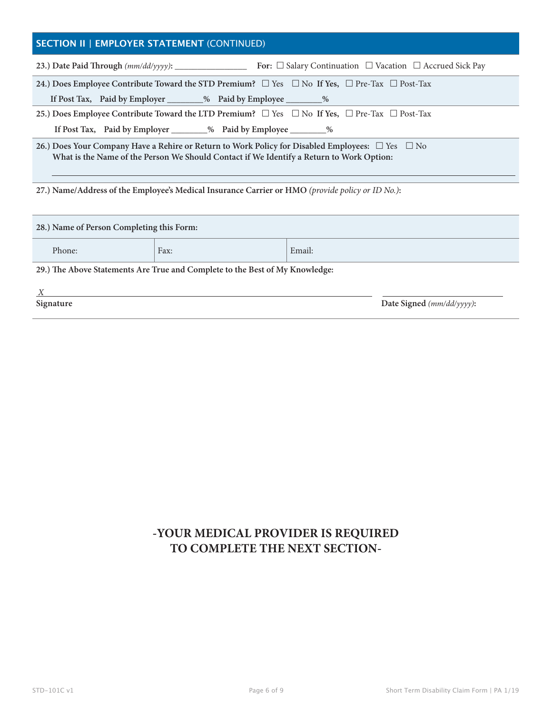## **SECTION II | EMPLOYER STATEMENT** (CONTINUED)

|                                                                                                                                                                                                        |                                                                                                                   | For: $\Box$ Salary Continuation $\Box$ Vacation $\Box$ Accrued Sick Pay |  |  |  |  |
|--------------------------------------------------------------------------------------------------------------------------------------------------------------------------------------------------------|-------------------------------------------------------------------------------------------------------------------|-------------------------------------------------------------------------|--|--|--|--|
|                                                                                                                                                                                                        | 24.) Does Employee Contribute Toward the STD Premium? $\Box$ Yes $\Box$ No If Yes, $\Box$ Pre-Tax $\Box$ Post-Tax |                                                                         |  |  |  |  |
|                                                                                                                                                                                                        | If Post Tax, Paid by Employer ________% Paid by Employee _________%                                               |                                                                         |  |  |  |  |
| 25.) Does Employee Contribute Toward the LTD Premium? $\square$ Yes $\square$ No If Yes, $\square$ Pre-Tax $\square$ Post-Tax                                                                          |                                                                                                                   |                                                                         |  |  |  |  |
|                                                                                                                                                                                                        | If Post Tax, Paid by Employer _________% Paid by Employee __________%                                             |                                                                         |  |  |  |  |
| 26.) Does Your Company Have a Rehire or Return to Work Policy for Disabled Employees: $\Box$ Yes $\Box$ No<br>What is the Name of the Person We Should Contact if We Identify a Return to Work Option: |                                                                                                                   |                                                                         |  |  |  |  |
| 27.) Name/Address of the Employee's Medical Insurance Carrier or HMO (provide policy or ID No.):                                                                                                       |                                                                                                                   |                                                                         |  |  |  |  |
| 28.) Name of Person Completing this Form:                                                                                                                                                              |                                                                                                                   |                                                                         |  |  |  |  |
| Phone:                                                                                                                                                                                                 | Fax:                                                                                                              | Email:                                                                  |  |  |  |  |

**29.) The Above Statements Are True and Complete to the Best of My Knowledge:**

| Signature | Date Signed (mm/dd/yyyy): |
|-----------|---------------------------|

## **-YOUR MEDICAL PROVIDER IS REQUIRED TO COMPLETE THE NEXT SECTION-**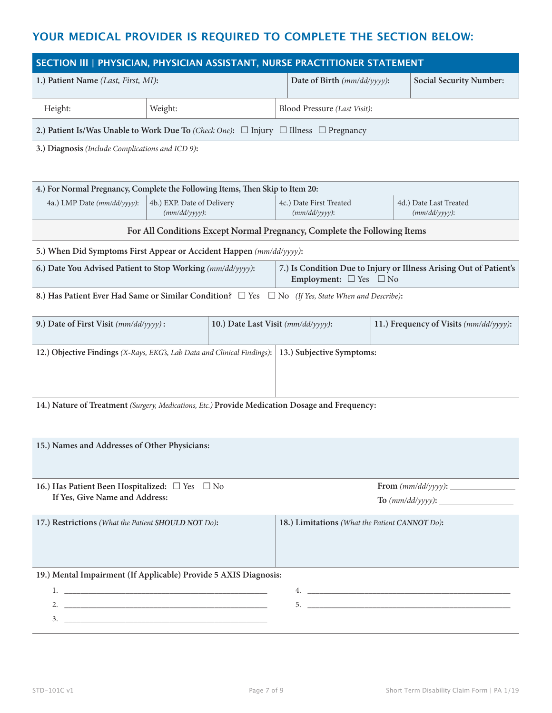## **YOUR MEDICAL PROVIDER IS REQUIRED TO COMPLETE THE SECTION BELOW:**

| SECTION III   PHYSICIAN, PHYSICIAN ASSISTANT, NURSE PRACTITIONER STATEMENT                                            |                                                                                                     |                                             |                                |                                                                    |  |  |
|-----------------------------------------------------------------------------------------------------------------------|-----------------------------------------------------------------------------------------------------|---------------------------------------------|--------------------------------|--------------------------------------------------------------------|--|--|
| 1.) Patient Name (Last, First, MI):                                                                                   | Date of Birth (mm/dd/yyyy):                                                                         |                                             | <b>Social Security Number:</b> |                                                                    |  |  |
| Height:                                                                                                               | Weight:                                                                                             | Blood Pressure (Last Visit):                |                                |                                                                    |  |  |
|                                                                                                                       | 2.) Patient Is/Was Unable to Work Due To (Check One): $\Box$ Injury $\Box$ Illness $\Box$ Pregnancy |                                             |                                |                                                                    |  |  |
| 3.) Diagnosis (Include Complications and ICD 9):                                                                      |                                                                                                     |                                             |                                |                                                                    |  |  |
|                                                                                                                       |                                                                                                     |                                             |                                |                                                                    |  |  |
| 4.) For Normal Pregnancy, Complete the Following Items, Then Skip to Item 20:                                         |                                                                                                     |                                             |                                |                                                                    |  |  |
| 4a.) LMP Date (mm/dd/yyyy):                                                                                           | 4b.) EXP. Date of Delivery<br>$(mm/dd/yyyy)$ :                                                      | 4c.) Date First Treated<br>$(mm/dd/yyyy)$ : |                                | 4d.) Date Last Treated<br>$(mm/dd/yyyy)$ :                         |  |  |
|                                                                                                                       | For All Conditions Except Normal Pregnancy, Complete the Following Items                            |                                             |                                |                                                                    |  |  |
|                                                                                                                       | 5.) When Did Symptoms First Appear or Accident Happen (mm/dd/yyyy):                                 |                                             |                                |                                                                    |  |  |
|                                                                                                                       | 6.) Date You Advised Patient to Stop Working (mm/dd/yyyy):                                          | Employment: $\square$ Yes $\square$ No      |                                | 7.) Is Condition Due to Injury or Illness Arising Out of Patient's |  |  |
| 8.) Has Patient Ever Had Same or Similar Condition? □ Yes<br>$\Box$ No (If Yes, State When and Describe):             |                                                                                                     |                                             |                                |                                                                    |  |  |
| 9.) Date of First Visit (mm/dd/yyyy):<br>10.) Date Last Visit (mm/dd/yyyy):<br>11.) Frequency of Visits (mm/dd/yyyy): |                                                                                                     |                                             |                                |                                                                    |  |  |
| 13.) Subjective Symptoms:<br>12.) Objective Findings (X-Rays, EKG's, Lab Data and Clinical Findings):                 |                                                                                                     |                                             |                                |                                                                    |  |  |

**14.) Nature of Treatment** *(Surgery, Medications, Etc.)* **Provide Medication Dosage and Frequency:**

| 15.) Names and Addresses of Other Physicians:                                                                                                                                                                                        |                                                                                                                  |
|--------------------------------------------------------------------------------------------------------------------------------------------------------------------------------------------------------------------------------------|------------------------------------------------------------------------------------------------------------------|
| 16.) Has Patient Been Hospitalized: $\Box$ Yes $\Box$ No<br>If Yes, Give Name and Address:                                                                                                                                           |                                                                                                                  |
| 17.) Restrictions (What the Patient SHOULD NOT Do):                                                                                                                                                                                  | 18.) Limitations (What the Patient CANNOT Do):                                                                   |
| 19.) Mental Impairment (If Applicable) Provide 5 AXIS Diagnosis:                                                                                                                                                                     |                                                                                                                  |
|                                                                                                                                                                                                                                      | and the control of the control of the control of the control of the control of the control of the control of the |
| <u> 1989 - Johann Harry Harry Harry Harry Harry Harry Harry Harry Harry Harry Harry Harry Harry Harry Harry Harry Harry Harry Harry Harry Harry Harry Harry Harry Harry Harry Harry Harry Harry Harry Harry Harry Harry Harry Ha</u> |                                                                                                                  |
| 3.                                                                                                                                                                                                                                   |                                                                                                                  |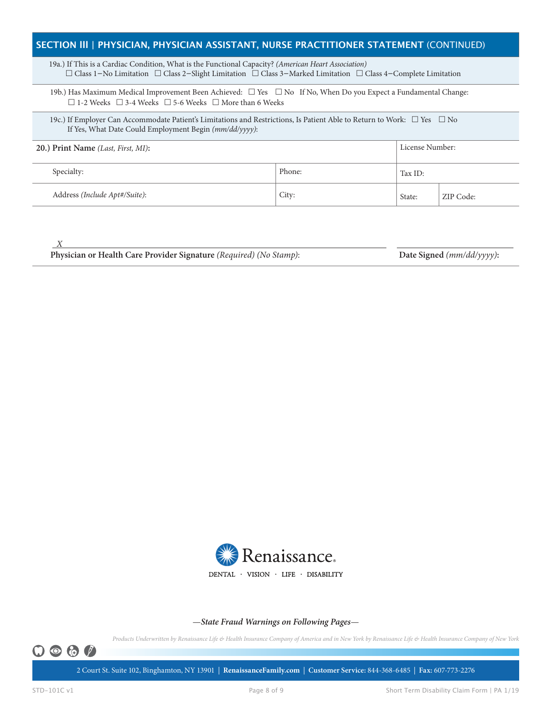### **SECTION lll | PHYSICIAN, PHYSICIAN ASSISTANT, NURSE PRACTITIONER STATEMENT** (CONTINUED)

 19a.) If This is a Cardiac Condition, What is the Functional Capacity? *(American Heart Association)* £ Class 1−No Limitation £ Class 2−Slight Limitation £ Class 3−Marked Limitation £ Class 4−Complete Limitation

19b.) Has Maximum Medical Improvement Been Achieved:  $\Box$  Yes  $\Box$  No If No, When Do you Expect a Fundamental Change:  $\Box$  1-2 Weeks  $\Box$  3-4 Weeks  $\Box$  5-6 Weeks  $\Box$  More than 6 Weeks

19c.) If Employer Can Accommodate Patient's Limitations and Restrictions, Is Patient Able to Return to Work:  $\Box$  Yes  $\Box$  No If Yes, What Date Could Employment Begin *(mm/dd/yyyy)*:

| 20.) Print Name (Last, First, MI): |        |         | License Number: |  |  |
|------------------------------------|--------|---------|-----------------|--|--|
| Specialty:                         | Phone: | Tax ID: |                 |  |  |
| Address (Include Apt#/Suite):      | City:  | State:  | ZIP Code:       |  |  |

 *X* 

**Physician or Health Care Provider Signature** *(Required) (No Stamp)*: **Date Signed** *(mm/dd/yyyy)***:**



#### —*State Fraud Warnings on Following Pages*—

*Products Underwritten by Renaissance Life & Health Insurance Company of America and in New York by Renaissance Life & Health Insurance Company of New York*



2 Court St. Suite 102, Binghamton, NY 13901 | **RenaissanceFamily.com** | **Customer Service:** 844-368-6485 | **Fax:** 607-773-2276